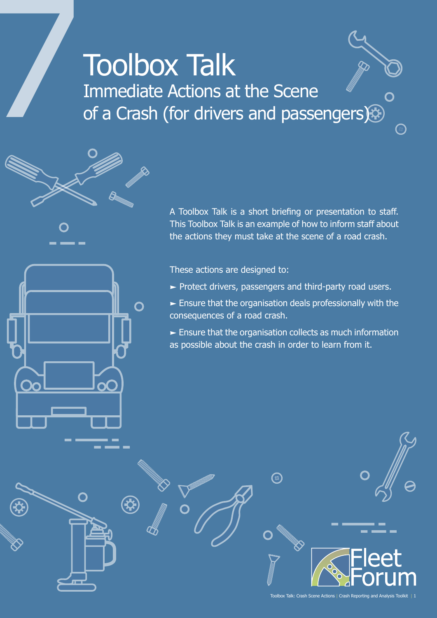## **Toolbox Talk** Immediate Actions at the Scene of a Crash (for drivers and passengers)



 $\Omega$ 

These actions are designed to:

- $\blacktriangleright$  Protect drivers, passengers and third-party road users.
- $\blacktriangleright$  Ensure that the organisation deals professionally with the consequences of a road crash.
- $\blacktriangleright$  Ensure that the organisation collects as much information as possible about the crash in order to learn from it.

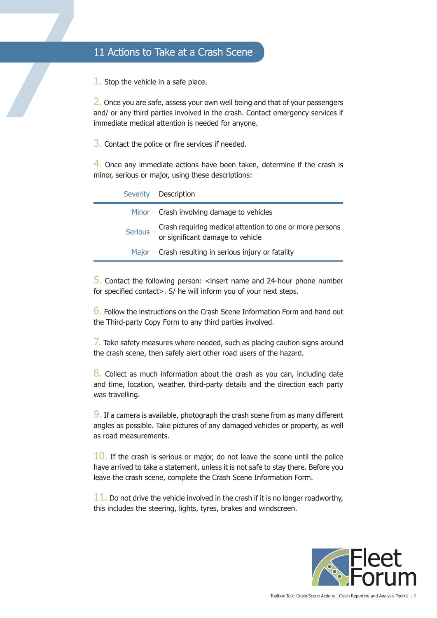1. Stop the vehicle in a safe place.

11 Actions to Take at a Crash Scene<br>
1. Stop the vehicle in a safe place.<br>
2. Once you are safe, assess your own well being<br>
and/ or any third parties involved in the crash. Commediate medical attention is needed for anyon 2. Once you are safe, assess your own well being and that of your passengers and/ or any third parties involved in the crash. Contact emergency services if immediate medical attention is needed for anyone.

3. Contact the police or fire services if needed.

4. Once any immediate actions have been taken, determine if the crash is minor, serious or major, using these descriptions:

|                | Severity Description                                                                         |
|----------------|----------------------------------------------------------------------------------------------|
|                | Minor Crash involving damage to vehicles                                                     |
| <b>Serious</b> | Crash requiring medical attention to one or more persons<br>or significant damage to vehicle |
| <b>Major</b>   | Crash resulting in serious injury or fatality                                                |

 $\overline{5}$ . Contact the following person: <insert name and 24-hour phone number for specified contact>. S/ he will inform you of your next steps.

6. Follow the instructions on the Crash Scene Information Form and hand out the Third-party Copy Form to any third parties involved.

 $\overline{7}$ . Take safety measures where needed, such as placing caution signs around the crash scene, then safely alert other road users of the hazard.

8. Collect as much information about the crash as you can, including date and time, location, weather, third-party details and the direction each party was travelling.

9. If a camera is available, photograph the crash scene from as many different angles as possible. Take pictures of any damaged vehicles or property, as well as road measurements.

 $10.$  If the crash is serious or major, do not leave the scene until the police have arrived to take a statement, unless it is not safe to stay there. Before you leave the crash scene, complete the Crash Scene Information Form.

 $11.$  Do not drive the vehicle involved in the crash if it is no longer roadworthy, this includes the steering, lights, tyres, brakes and windscreen.